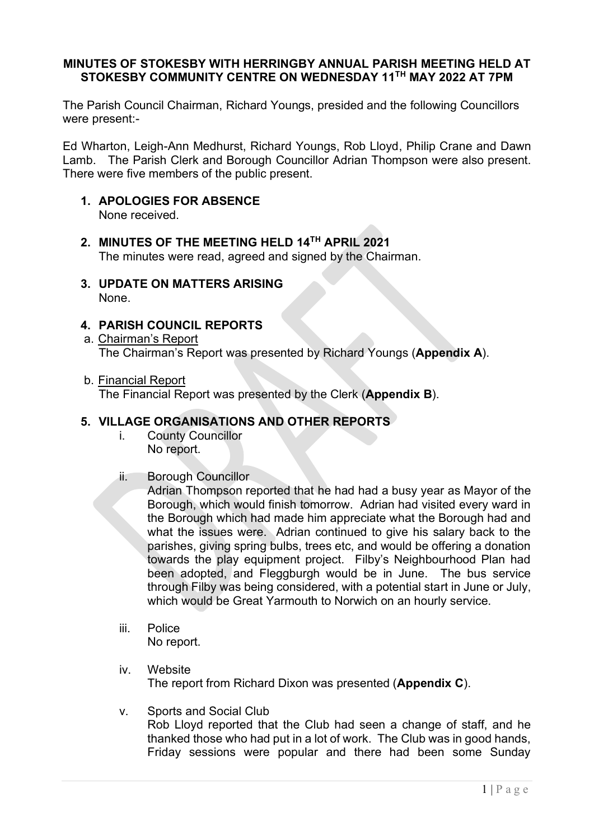### **MINUTES OF STOKESBY WITH HERRINGBY ANNUAL PARISH MEETING HELD AT STOKESBY COMMUNITY CENTRE ON WEDNESDAY 11TH MAY 2022 AT 7PM**

The Parish Council Chairman, Richard Youngs, presided and the following Councillors were present:-

Ed Wharton, Leigh-Ann Medhurst, Richard Youngs, Rob Lloyd, Philip Crane and Dawn Lamb. The Parish Clerk and Borough Councillor Adrian Thompson were also present. There were five members of the public present.

### **1. APOLOGIES FOR ABSENCE**

None received.

- **2. MINUTES OF THE MEETING HELD 14TH APRIL 2021** The minutes were read, agreed and signed by the Chairman.
- **3. UPDATE ON MATTERS ARISING** None.

### **4. PARISH COUNCIL REPORTS**

- a. Chairman's Report The Chairman's Report was presented by Richard Youngs (**Appendix A**).
- b. Financial Report

The Financial Report was presented by the Clerk (**Appendix B**).

### **5. VILLAGE ORGANISATIONS AND OTHER REPORTS**

- i. County Councillor No report.
- ii. Borough Councillor

Adrian Thompson reported that he had had a busy year as Mayor of the Borough, which would finish tomorrow. Adrian had visited every ward in the Borough which had made him appreciate what the Borough had and what the issues were. Adrian continued to give his salary back to the parishes, giving spring bulbs, trees etc, and would be offering a donation towards the play equipment project. Filby's Neighbourhood Plan had been adopted, and Fleggburgh would be in June. The bus service through Filby was being considered, with a potential start in June or July, which would be Great Yarmouth to Norwich on an hourly service.

- iii. Police No report.
- iv. Website The report from Richard Dixon was presented (**Appendix C**).
- v. Sports and Social Club

Rob Lloyd reported that the Club had seen a change of staff, and he thanked those who had put in a lot of work. The Club was in good hands, Friday sessions were popular and there had been some Sunday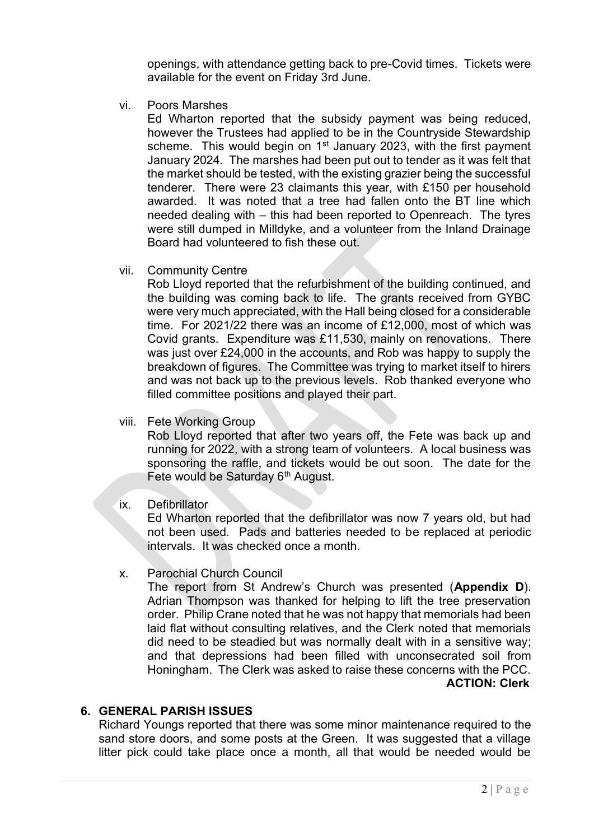openings, with attendance getting back to pre-Covid times. Tickets were available for the event on Friday 3rd June.

vi. Poors Marshes

Ed Wharton reported that the subsidy payment was being reduced, however the Trustees had applied to be in the Countryside Stewardship scheme. This would begin on  $1<sup>st</sup>$  January 2023, with the first payment January 2024. The marshes had been put out to tender as it was felt that the market should be tested, with the existing grazier being the successful tenderer. There were 23 claimants this year, with £150 per household awarded. It was noted that a tree had fallen onto the BT line which needed dealing with – this had been reported to Openreach. The tyres were still dumped in Milldyke, and a volunteer from the Inland Drainage Board had volunteered to fish these out.

vii. Community Centre

Rob Lloyd reported that the refurbishment of the building continued, and the building was coming back to life. The grants received from GYBC were very much appreciated, with the Hall being closed for a considerable time. For 2021/22 there was an income of £12,000, most of which was Covid grants. Expenditure was £11,530, mainly on renovations. There was just over £24,000 in the accounts, and Rob was happy to supply the breakdown of figures. The Committee was trying to market itself to hirers and was not back up to the previous levels. Rob thanked everyone who filled committee positions and played their part.

viii. Fete Working Group

Rob Lloyd reported that after two years off, the Fete was back up and running for 2022, with a strong team of volunteers. A local business was sponsoring the raffle, and tickets would be out soon. The date for the Fete would be Saturday 6<sup>th</sup> August.

ix. Defibrillator

Ed Wharton reported that the defibrillator was now 7 years old, but had not been used. Pads and batteries needed to be replaced at periodic intervals. It was checked once a month.

x. Parochial Church Council

The report from St Andrew's Church was presented (**Appendix D**). Adrian Thompson was thanked for helping to lift the tree preservation order. Philip Crane noted that he was not happy that memorials had been laid flat without consulting relatives, and the Clerk noted that memorials did need to be steadied but was normally dealt with in a sensitive way; and that depressions had been filled with unconsecrated soil from Honingham. The Clerk was asked to raise these concerns with the PCC. **ACTION: Clerk**

### **6. GENERAL PARISH ISSUES**

Richard Youngs reported that there was some minor maintenance required to the sand store doors, and some posts at the Green. It was suggested that a village litter pick could take place once a month, all that would be needed would be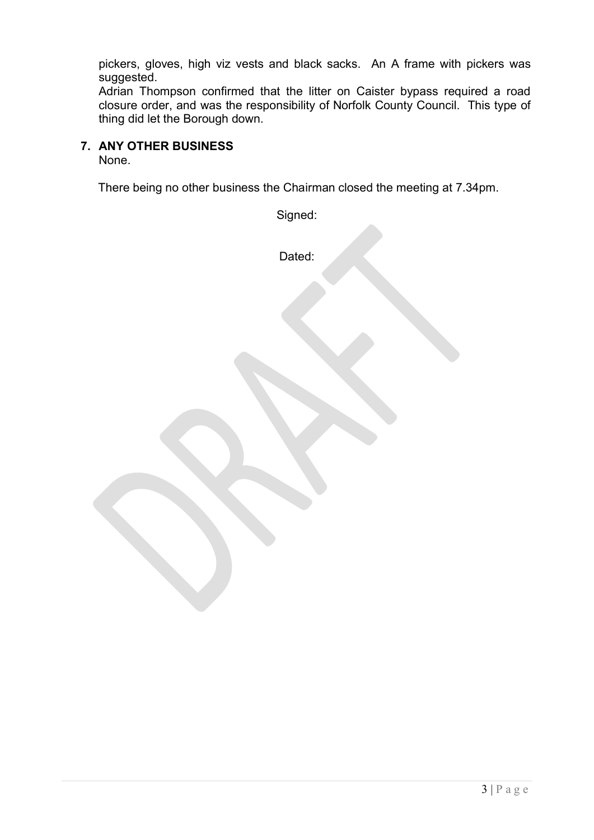pickers, gloves, high viz vests and black sacks. An A frame with pickers was suggested.

Adrian Thompson confirmed that the litter on Caister bypass required a road closure order, and was the responsibility of Norfolk County Council. This type of thing did let the Borough down.

### **7. ANY OTHER BUSINESS**

None.

There being no other business the Chairman closed the meeting at 7.34pm.

Signed: Dated: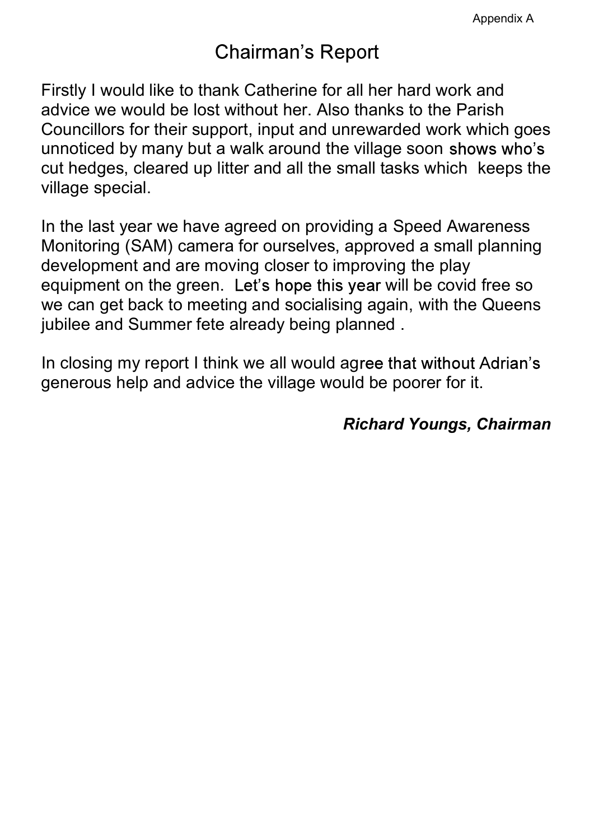## **Chairman's Report**

Firstly I would like to thank Catherine for all her hard work and advice we would be lost without her. Also thanks to the Parish Councillors for their support, input and unrewarded work which goes unnoticed by many but a walk around the village soon shows who's cut hedges, cleared up litter and all the small tasks which keeps the village special.

In the last year we have agreed on providing a Speed Awareness Monitoring (SAM) camera for ourselves, approved a small planning development and are moving closer to improving the play equipment on the green. Let's hope this year will be covid free so we can get back to meeting and socialising again, with the Queens jubilee and Summer fete already being planned .

In closing my report I think we all would agree that without Adrian's generous help and advice the village would be poorer for it.

### Richard Youngs, Chairman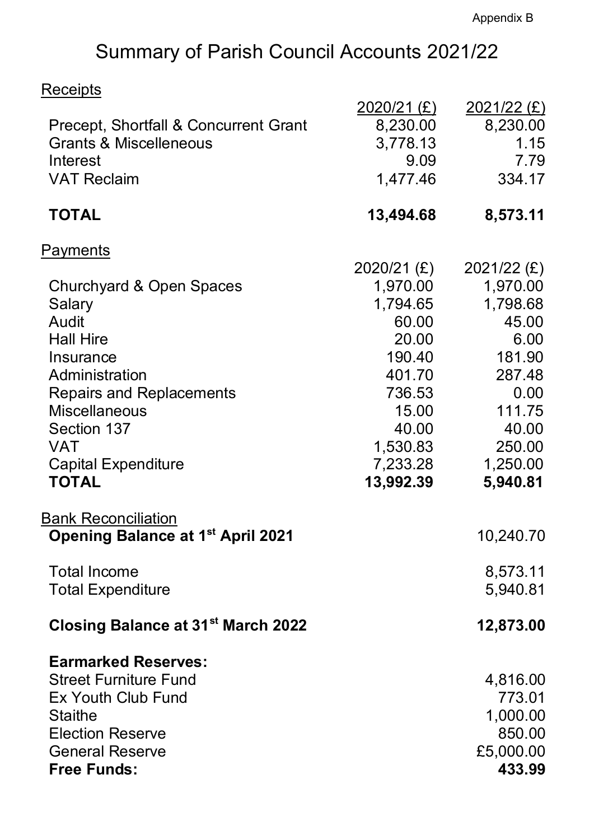# Summary of Parish Council Accounts 2021/22

## **Receipts**

|                                                | $2020/21$ (£) | $2021/22$ (£) |  |
|------------------------------------------------|---------------|---------------|--|
| Precept, Shortfall & Concurrent Grant          | 8,230.00      | 8,230.00      |  |
| <b>Grants &amp; Miscelleneous</b>              | 3,778.13      | 1.15          |  |
| Interest                                       | 9.09          | 7.79          |  |
| <b>VAT Reclaim</b>                             | 1,477.46      | 334.17        |  |
| <b>TOTAL</b>                                   | 13,494.68     | 8,573.11      |  |
| <u>Payments</u>                                |               |               |  |
|                                                | 2020/21 (£)   | $2021/22$ (£) |  |
| <b>Churchyard &amp; Open Spaces</b>            | 1,970.00      | 1,970.00      |  |
| Salary                                         | 1,794.65      | 1,798.68      |  |
| Audit                                          | 60.00         | 45.00         |  |
| <b>Hall Hire</b>                               | 20.00         | 6.00          |  |
| <b>Insurance</b>                               | 190.40        | 181.90        |  |
| Administration                                 | 401.70        | 287.48        |  |
| <b>Repairs and Replacements</b>                | 736.53        | 0.00          |  |
| <b>Miscellaneous</b>                           | 15.00         | 111.75        |  |
| Section 137                                    | 40.00         | 40.00         |  |
| <b>VAT</b>                                     | 1,530.83      | 250.00        |  |
| <b>Capital Expenditure</b>                     | 7,233.28      | 1,250.00      |  |
| <b>TOTAL</b>                                   | 13,992.39     | 5,940.81      |  |
| <u>Bank Reconciliation</u>                     |               |               |  |
| <b>Opening Balance at 1st April 2021</b>       |               | 10,240.70     |  |
| <b>Total Income</b>                            |               | 8,573.11      |  |
| <b>Total Expenditure</b>                       |               | 5,940.81      |  |
| Closing Balance at 31 <sup>st</sup> March 2022 |               | 12,873.00     |  |
| <b>Earmarked Reserves:</b>                     |               |               |  |
| <b>Street Furniture Fund</b>                   |               | 4,816.00      |  |
| Ex Youth Club Fund                             |               | 773.01        |  |
| <b>Staithe</b>                                 |               | 1,000.00      |  |
| <b>Election Reserve</b>                        |               | 850.00        |  |
| <b>General Reserve</b>                         |               | £5,000.00     |  |
| <b>Free Funds:</b>                             |               | 433.99        |  |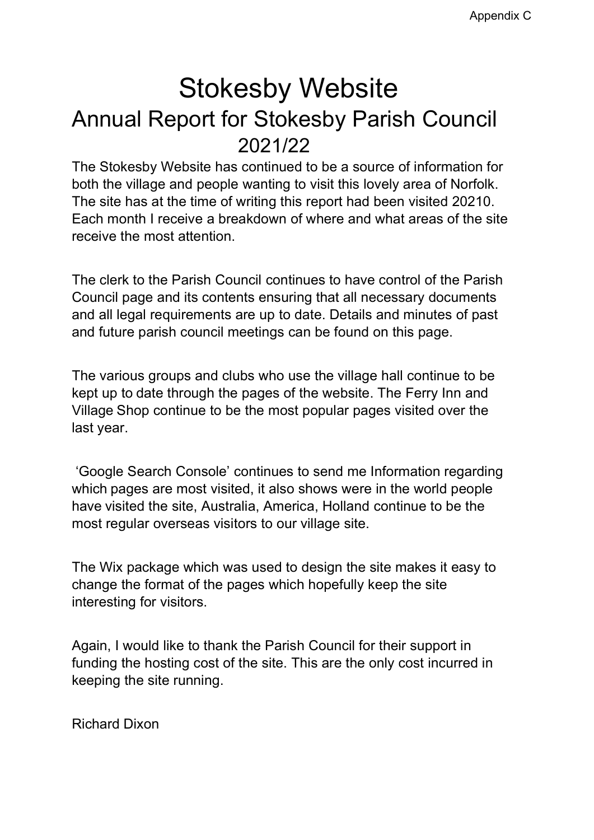# Stokesby Website Annual Report for Stokesby Parish Council 2021/22

The Stokesby Website has continued to be a source of information for both the village and people wanting to visit this lovely area of Norfolk. The site has at the time of writing this report had been visited 20210. Each month I receive a breakdown of where and what areas of the site receive the most attention.

The clerk to the Parish Council continues to have control of the Parish Council page and its contents ensuring that all necessary documents and all legal requirements are up to date. Details and minutes of past and future parish council meetings can be found on this page.

The various groups and clubs who use the village hall continue to be kept up to date through the pages of the website. The Ferry Inn and Village Shop continue to be the most popular pages visited over the last year.

'Google Search Console' continues to send me Information regarding which pages are most visited, it also shows were in the world people have visited the site, Australia, America, Holland continue to be the most regular overseas visitors to our village site.

The Wix package which was used to design the site makes it easy to change the format of the pages which hopefully keep the site interesting for visitors.

Again, I would like to thank the Parish Council for their support in funding the hosting cost of the site. This are the only cost incurred in keeping the site running.

Richard Dixon